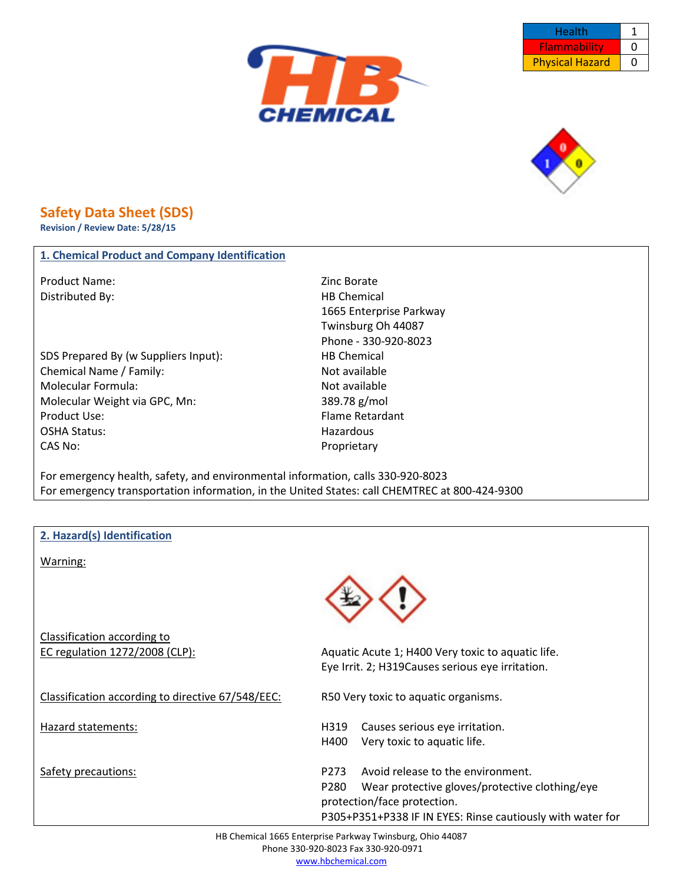





## **Safety Data Sheet (SDS)**

**Revision / Review Date: 5/28/15**

## **1. Chemical Product and Company Identification**

Product Name: Zinc Borate Distributed By: Notice and the Material HB Chemical HB Chemical

SDS Prepared By (w Suppliers Input): HB Chemical Chemical Name / Family: Not available Molecular Formula: Not available Molecular Weight via GPC, Mn: 389.78 g/mol Product Use: The Contract of the Contract of the Person of the Person Plame Retardant OSHA Status: Hazardous CAS No: Proprietary

1665 Enterprise Parkway Twinsburg Oh 44087 Phone - 330-920-8023

For emergency health, safety, and environmental information, calls 330-920-8023 For emergency transportation information, in the United States: call CHEMTREC at 800-424-9300

| 2. Hazard(s) Identification                       |                                                            |
|---------------------------------------------------|------------------------------------------------------------|
| Warning:                                          |                                                            |
|                                                   |                                                            |
|                                                   |                                                            |
| Classification according to                       |                                                            |
| EC regulation 1272/2008 (CLP):                    | Aquatic Acute 1; H400 Very toxic to aquatic life.          |
|                                                   | Eye Irrit. 2; H319Causes serious eye irritation.           |
| Classification according to directive 67/548/EEC: | R50 Very toxic to aquatic organisms.                       |
| <b>Hazard statements:</b>                         | Causes serious eye irritation.<br>H319                     |
|                                                   | H400<br>Very toxic to aquatic life.                        |
| Safety precautions:                               | Avoid release to the environment.<br>P <sub>273</sub>      |
|                                                   | Wear protective gloves/protective clothing/eye<br>P280     |
|                                                   | protection/face protection.                                |
|                                                   | P305+P351+P338 IF IN EYES: Rinse cautiously with water for |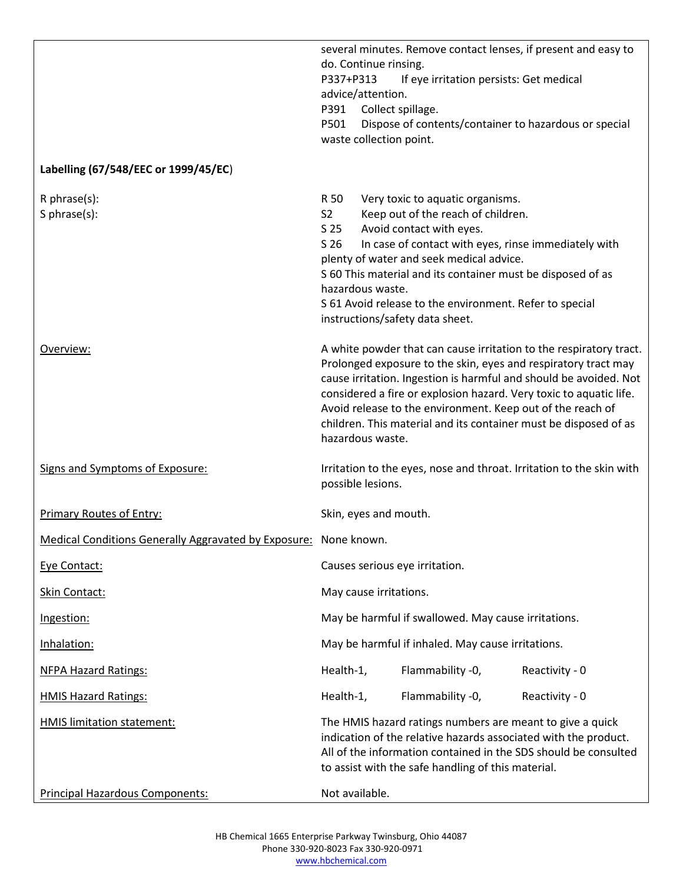|                                                                  | P337+P313<br>P391<br>P501                                    | do. Continue rinsing.<br>advice/attention.<br>waste collection point. | If eye irritation persists: Get medical<br>Collect spillage.                                                                                                                                                                                                                                                | several minutes. Remove contact lenses, if present and easy to<br>Dispose of contents/container to hazardous or special                                                                                                                                                                                                                                                                                           |
|------------------------------------------------------------------|--------------------------------------------------------------|-----------------------------------------------------------------------|-------------------------------------------------------------------------------------------------------------------------------------------------------------------------------------------------------------------------------------------------------------------------------------------------------------|-------------------------------------------------------------------------------------------------------------------------------------------------------------------------------------------------------------------------------------------------------------------------------------------------------------------------------------------------------------------------------------------------------------------|
| Labelling (67/548/EEC or 1999/45/EC)                             |                                                              |                                                                       |                                                                                                                                                                                                                                                                                                             |                                                                                                                                                                                                                                                                                                                                                                                                                   |
| $R$ phrase $(s)$ :<br>S phrase(s):                               | R 50<br>S <sub>2</sub><br>S <sub>25</sub><br>S <sub>26</sub> | hazardous waste.                                                      | Very toxic to aquatic organisms.<br>Keep out of the reach of children.<br>Avoid contact with eyes.<br>plenty of water and seek medical advice.<br>S 60 This material and its container must be disposed of as<br>S 61 Avoid release to the environment. Refer to special<br>instructions/safety data sheet. | In case of contact with eyes, rinse immediately with                                                                                                                                                                                                                                                                                                                                                              |
| Overview:                                                        |                                                              | hazardous waste.                                                      |                                                                                                                                                                                                                                                                                                             | A white powder that can cause irritation to the respiratory tract.<br>Prolonged exposure to the skin, eyes and respiratory tract may<br>cause irritation. Ingestion is harmful and should be avoided. Not<br>considered a fire or explosion hazard. Very toxic to aquatic life.<br>Avoid release to the environment. Keep out of the reach of<br>children. This material and its container must be disposed of as |
| Signs and Symptoms of Exposure:                                  |                                                              | possible lesions.                                                     |                                                                                                                                                                                                                                                                                                             | Irritation to the eyes, nose and throat. Irritation to the skin with                                                                                                                                                                                                                                                                                                                                              |
| <b>Primary Routes of Entry:</b>                                  |                                                              | Skin, eyes and mouth.                                                 |                                                                                                                                                                                                                                                                                                             |                                                                                                                                                                                                                                                                                                                                                                                                                   |
| Medical Conditions Generally Aggravated by Exposure: None known. |                                                              |                                                                       |                                                                                                                                                                                                                                                                                                             |                                                                                                                                                                                                                                                                                                                                                                                                                   |
| Eye Contact:                                                     |                                                              |                                                                       | Causes serious eye irritation.                                                                                                                                                                                                                                                                              |                                                                                                                                                                                                                                                                                                                                                                                                                   |
| Skin Contact:                                                    |                                                              | May cause irritations.                                                |                                                                                                                                                                                                                                                                                                             |                                                                                                                                                                                                                                                                                                                                                                                                                   |
| Ingestion:                                                       |                                                              |                                                                       | May be harmful if swallowed. May cause irritations.                                                                                                                                                                                                                                                         |                                                                                                                                                                                                                                                                                                                                                                                                                   |
| Inhalation:                                                      |                                                              |                                                                       | May be harmful if inhaled. May cause irritations.                                                                                                                                                                                                                                                           |                                                                                                                                                                                                                                                                                                                                                                                                                   |
| <b>NFPA Hazard Ratings:</b>                                      | Health-1,                                                    |                                                                       | Flammability -0,                                                                                                                                                                                                                                                                                            | Reactivity - 0                                                                                                                                                                                                                                                                                                                                                                                                    |
| <b>HMIS Hazard Ratings:</b>                                      | Health-1,                                                    |                                                                       | Flammability -0,                                                                                                                                                                                                                                                                                            | Reactivity - 0                                                                                                                                                                                                                                                                                                                                                                                                    |
| <b>HMIS limitation statement:</b>                                |                                                              |                                                                       | to assist with the safe handling of this material.                                                                                                                                                                                                                                                          | The HMIS hazard ratings numbers are meant to give a quick<br>indication of the relative hazards associated with the product.<br>All of the information contained in the SDS should be consulted                                                                                                                                                                                                                   |
| <b>Principal Hazardous Components:</b>                           |                                                              | Not available.                                                        |                                                                                                                                                                                                                                                                                                             |                                                                                                                                                                                                                                                                                                                                                                                                                   |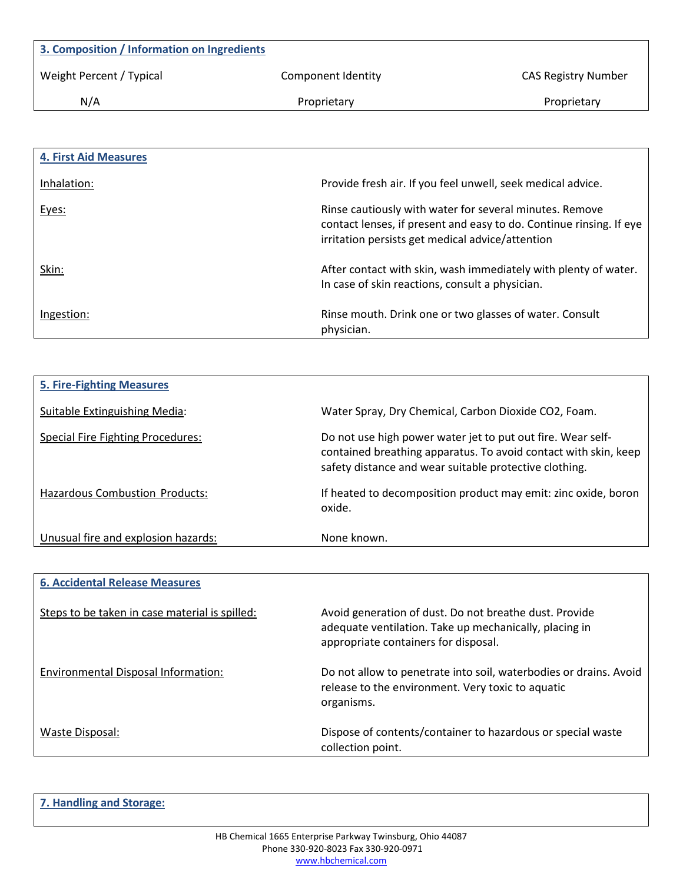| 3. Composition / Information on Ingredients |                    |                            |
|---------------------------------------------|--------------------|----------------------------|
| Weight Percent / Typical                    | Component Identity | <b>CAS Registry Number</b> |
| N/A                                         | Proprietary        | Proprietary                |
|                                             |                    |                            |

| <b>4. First Aid Measures</b> |                                                                                                                                                                                    |
|------------------------------|------------------------------------------------------------------------------------------------------------------------------------------------------------------------------------|
| Inhalation:                  | Provide fresh air. If you feel unwell, seek medical advice.                                                                                                                        |
| Eyes:                        | Rinse cautiously with water for several minutes. Remove<br>contact lenses, if present and easy to do. Continue rinsing. If eye<br>irritation persists get medical advice/attention |
| Skin:                        | After contact with skin, wash immediately with plenty of water.<br>In case of skin reactions, consult a physician.                                                                 |
| Ingestion:                   | Rinse mouth. Drink one or two glasses of water. Consult<br>physician.                                                                                                              |

| <b>5. Fire-Fighting Measures</b>         |                                                                                                                                                                                          |
|------------------------------------------|------------------------------------------------------------------------------------------------------------------------------------------------------------------------------------------|
| Suitable Extinguishing Media:            | Water Spray, Dry Chemical, Carbon Dioxide CO2, Foam.                                                                                                                                     |
| <b>Special Fire Fighting Procedures:</b> | Do not use high power water jet to put out fire. Wear self-<br>contained breathing apparatus. To avoid contact with skin, keep<br>safety distance and wear suitable protective clothing. |
| Hazardous Combustion Products:           | If heated to decomposition product may emit: zinc oxide, boron<br>oxide.                                                                                                                 |
| Unusual fire and explosion hazards:      | None known.                                                                                                                                                                              |

| <b>6. Accidental Release Measures</b>          |                                                                                                                                                          |
|------------------------------------------------|----------------------------------------------------------------------------------------------------------------------------------------------------------|
| Steps to be taken in case material is spilled: | Avoid generation of dust. Do not breathe dust. Provide<br>adequate ventilation. Take up mechanically, placing in<br>appropriate containers for disposal. |
| Environmental Disposal Information:            | Do not allow to penetrate into soil, waterbodies or drains. Avoid<br>release to the environment. Very toxic to aquatic<br>organisms.                     |
| Waste Disposal:                                | Dispose of contents/container to hazardous or special waste<br>collection point.                                                                         |

**7. Handling and Storage:**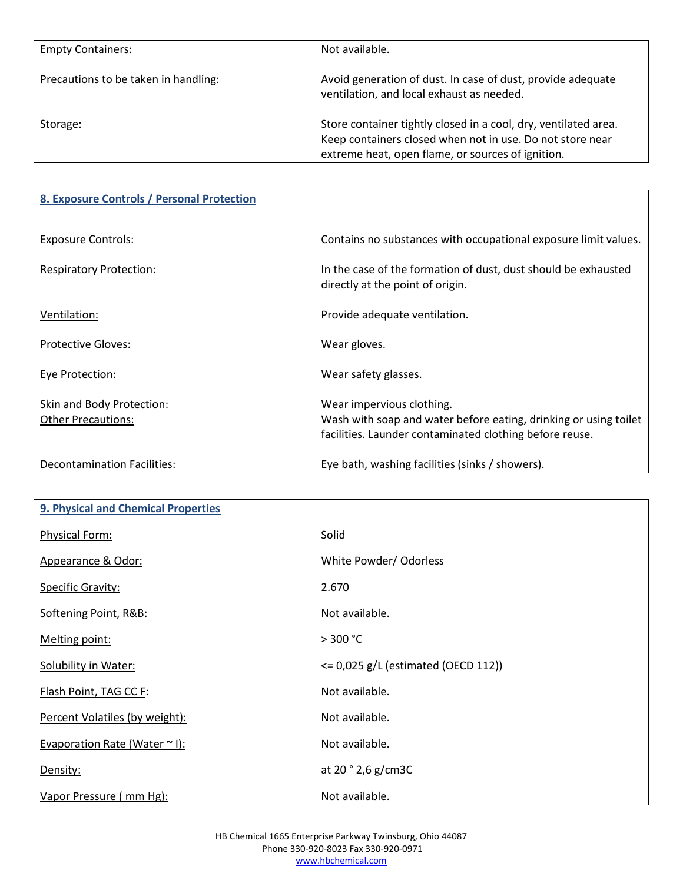| <b>Empty Containers:</b>             | Not available.                                                                                                                                                                    |
|--------------------------------------|-----------------------------------------------------------------------------------------------------------------------------------------------------------------------------------|
| Precautions to be taken in handling: | Avoid generation of dust. In case of dust, provide adequate<br>ventilation, and local exhaust as needed.                                                                          |
| Storage:                             | Store container tightly closed in a cool, dry, ventilated area.<br>Keep containers closed when not in use. Do not store near<br>extreme heat, open flame, or sources of ignition. |

| 8. Exposure Controls / Personal Protection             |                                                                                                                                                          |
|--------------------------------------------------------|----------------------------------------------------------------------------------------------------------------------------------------------------------|
| <b>Exposure Controls:</b>                              | Contains no substances with occupational exposure limit values.                                                                                          |
| <b>Respiratory Protection:</b>                         | In the case of the formation of dust, dust should be exhausted<br>directly at the point of origin.                                                       |
| Ventilation:                                           | Provide adequate ventilation.                                                                                                                            |
| <b>Protective Gloves:</b>                              | Wear gloves.                                                                                                                                             |
| <b>Eye Protection:</b>                                 | Wear safety glasses.                                                                                                                                     |
| Skin and Body Protection:<br><b>Other Precautions:</b> | Wear impervious clothing.<br>Wash with soap and water before eating, drinking or using toilet<br>facilities. Launder contaminated clothing before reuse. |
| Decontamination Facilities:                            | Eye bath, washing facilities (sinks / showers).                                                                                                          |

| 9. Physical and Chemical Properties |                                         |
|-------------------------------------|-----------------------------------------|
| Physical Form:                      | Solid                                   |
| Appearance & Odor:                  | White Powder/ Odorless                  |
| <b>Specific Gravity:</b>            | 2.670                                   |
| Softening Point, R&B:               | Not available.                          |
| Melting point:                      | $>$ 300 °C                              |
| <b>Solubility in Water:</b>         | $\leq$ 0,025 g/L (estimated (OECD 112)) |
| Flash Point, TAG CC F:              | Not available.                          |
| Percent Volatiles (by weight):      | Not available.                          |
| Evaporation Rate (Water ~ I):       | Not available.                          |
| Density:                            | at $20°2,6 g/cm3C$                      |
| Vapor Pressure (mm Hg):             | Not available.                          |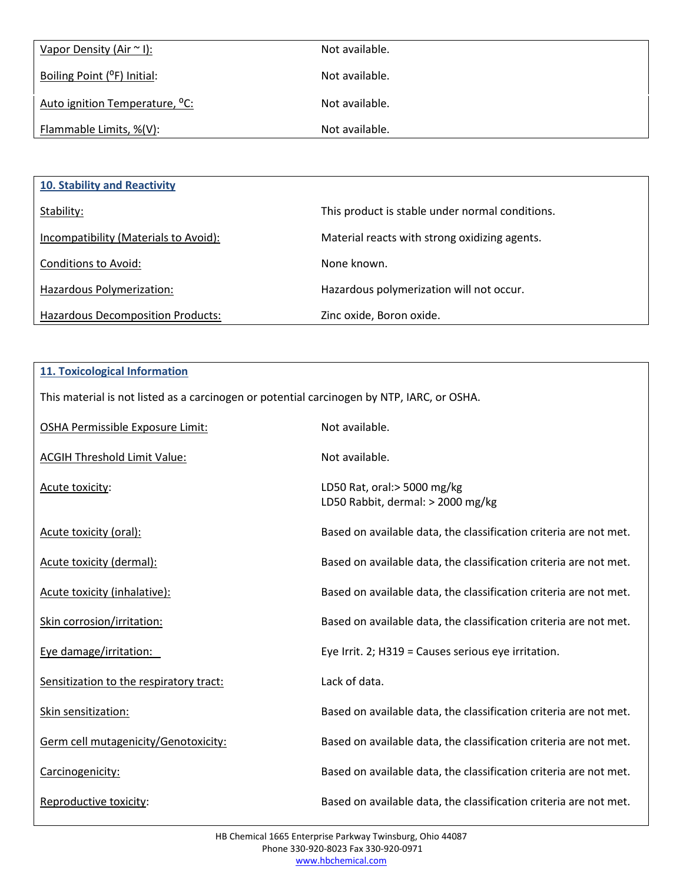| Vapor Density (Air $\sim$ I):              | Not available. |
|--------------------------------------------|----------------|
| Boiling Point ( <sup>o</sup> F) Initial:   | Not available. |
| Auto ignition Temperature, <sup>o</sup> C: | Not available. |
| Flammable Limits, %(V):                    | Not available. |

| <b>10. Stability and Reactivity</b>      |                                                 |
|------------------------------------------|-------------------------------------------------|
| Stability:                               | This product is stable under normal conditions. |
| Incompatibility (Materials to Avoid):    | Material reacts with strong oxidizing agents.   |
| Conditions to Avoid:                     | None known.                                     |
| Hazardous Polymerization:                | Hazardous polymerization will not occur.        |
| <b>Hazardous Decomposition Products:</b> | Zinc oxide, Boron oxide.                        |

| <b>11. Toxicological Information</b>                                                       |                                                                   |  |  |
|--------------------------------------------------------------------------------------------|-------------------------------------------------------------------|--|--|
| This material is not listed as a carcinogen or potential carcinogen by NTP, IARC, or OSHA. |                                                                   |  |  |
| OSHA Permissible Exposure Limit:                                                           | Not available.                                                    |  |  |
| <b>ACGIH Threshold Limit Value:</b>                                                        | Not available.                                                    |  |  |
| Acute toxicity:                                                                            | LD50 Rat, oral:> 5000 mg/kg<br>LD50 Rabbit, dermal: > 2000 mg/kg  |  |  |
| Acute toxicity (oral):                                                                     | Based on available data, the classification criteria are not met. |  |  |
| Acute toxicity (dermal):                                                                   | Based on available data, the classification criteria are not met. |  |  |
| Acute toxicity (inhalative):                                                               | Based on available data, the classification criteria are not met. |  |  |
| Skin corrosion/irritation:                                                                 | Based on available data, the classification criteria are not met. |  |  |
| Eye damage/irritation:                                                                     | Eye Irrit. 2; H319 = Causes serious eye irritation.               |  |  |
| Sensitization to the respiratory tract:                                                    | Lack of data.                                                     |  |  |
| Skin sensitization:                                                                        | Based on available data, the classification criteria are not met. |  |  |
| Germ cell mutagenicity/Genotoxicity:                                                       | Based on available data, the classification criteria are not met. |  |  |
| Carcinogenicity:                                                                           | Based on available data, the classification criteria are not met. |  |  |
| Reproductive toxicity:                                                                     | Based on available data, the classification criteria are not met. |  |  |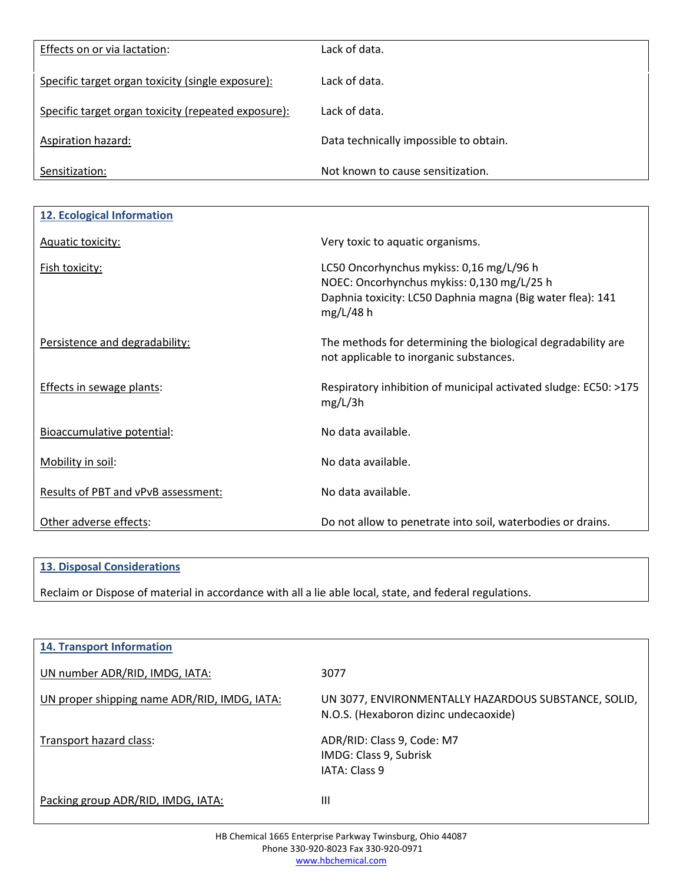| Effects on or via lactation:                        | Lack of data.                          |
|-----------------------------------------------------|----------------------------------------|
| Specific target organ toxicity (single exposure):   | Lack of data.                          |
| Specific target organ toxicity (repeated exposure): | Lack of data.                          |
| Aspiration hazard:                                  | Data technically impossible to obtain. |
| Sensitization:                                      | Not known to cause sensitization.      |

| 12. Ecological Information          |                                                                                                                                                                     |
|-------------------------------------|---------------------------------------------------------------------------------------------------------------------------------------------------------------------|
| <b>Aquatic toxicity:</b>            | Very toxic to aquatic organisms.                                                                                                                                    |
| <b>Fish toxicity:</b>               | LC50 Oncorhynchus mykiss: 0,16 mg/L/96 h<br>NOEC: Oncorhynchus mykiss: 0,130 mg/L/25 h<br>Daphnia toxicity: LC50 Daphnia magna (Big water flea): 141<br>$mg/L/48$ h |
| Persistence and degradability:      | The methods for determining the biological degradability are<br>not applicable to inorganic substances.                                                             |
| Effects in sewage plants:           | Respiratory inhibition of municipal activated sludge: EC50: >175<br>mg/L/3h                                                                                         |
| Bioaccumulative potential:          | No data available.                                                                                                                                                  |
| Mobility in soil:                   | No data available.                                                                                                                                                  |
| Results of PBT and vPvB assessment: | No data available.                                                                                                                                                  |
| Other adverse effects:              | Do not allow to penetrate into soil, waterbodies or drains.                                                                                                         |

## **13. Disposal Considerations**

Reclaim or Dispose of material in accordance with all a lie able local, state, and federal regulations.

| <b>14. Transport Information</b>             |                                                                                               |
|----------------------------------------------|-----------------------------------------------------------------------------------------------|
| UN number ADR/RID, IMDG, IATA:               | 3077                                                                                          |
| UN proper shipping name ADR/RID, IMDG, IATA: | UN 3077, ENVIRONMENTALLY HAZARDOUS SUBSTANCE, SOLID,<br>N.O.S. (Hexaboron dizinc undecaoxide) |
| Transport hazard class:                      | ADR/RID: Class 9, Code: M7<br>IMDG: Class 9, Subrisk<br>IATA: Class 9                         |
| Packing group ADR/RID, IMDG, IATA:           | Ш                                                                                             |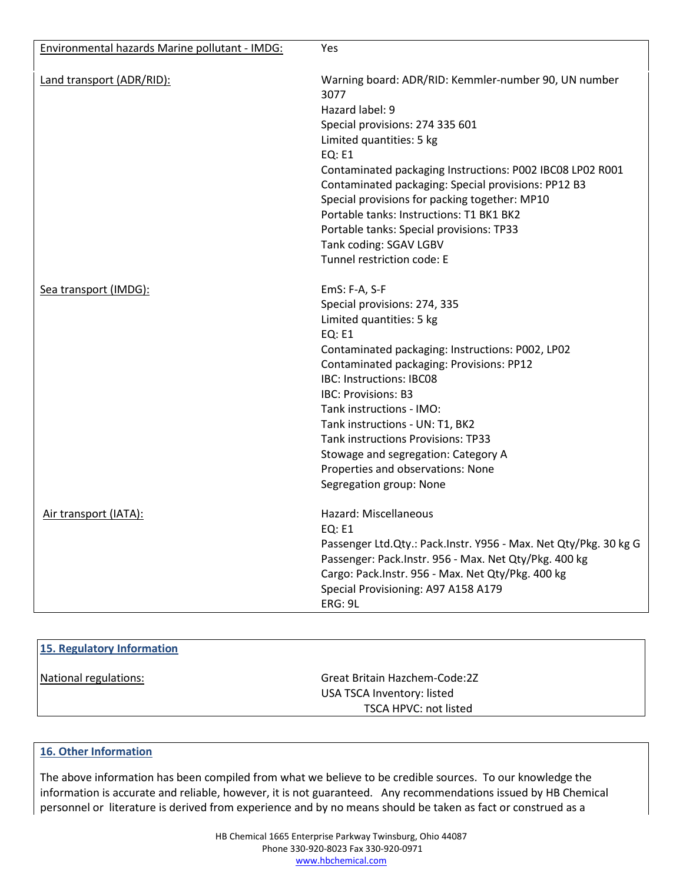| Environmental hazards Marine pollutant - IMDG: | Yes                                                                                                                                                                                                                                                                                                                                                                                                                                                                     |
|------------------------------------------------|-------------------------------------------------------------------------------------------------------------------------------------------------------------------------------------------------------------------------------------------------------------------------------------------------------------------------------------------------------------------------------------------------------------------------------------------------------------------------|
| Land transport (ADR/RID):                      | Warning board: ADR/RID: Kemmler-number 90, UN number<br>3077<br>Hazard label: 9<br>Special provisions: 274 335 601<br>Limited quantities: 5 kg<br><b>EQ: E1</b><br>Contaminated packaging Instructions: P002 IBC08 LP02 R001<br>Contaminated packaging: Special provisions: PP12 B3<br>Special provisions for packing together: MP10<br>Portable tanks: Instructions: T1 BK1 BK2                                                                                        |
|                                                | Portable tanks: Special provisions: TP33<br>Tank coding: SGAV LGBV<br>Tunnel restriction code: E                                                                                                                                                                                                                                                                                                                                                                        |
| Sea transport (IMDG):                          | EmS: F-A, S-F<br>Special provisions: 274, 335<br>Limited quantities: 5 kg<br><b>EQ: E1</b><br>Contaminated packaging: Instructions: P002, LP02<br>Contaminated packaging: Provisions: PP12<br>IBC: Instructions: IBC08<br><b>IBC: Provisions: B3</b><br>Tank instructions - IMO:<br>Tank instructions - UN: T1, BK2<br><b>Tank instructions Provisions: TP33</b><br>Stowage and segregation: Category A<br>Properties and observations: None<br>Segregation group: None |
| Air transport (IATA):                          | Hazard: Miscellaneous<br><b>EQ: E1</b><br>Passenger Ltd.Qty.: Pack.Instr. Y956 - Max. Net Qty/Pkg. 30 kg G<br>Passenger: Pack.Instr. 956 - Max. Net Qty/Pkg. 400 kg<br>Cargo: Pack.Instr. 956 - Max. Net Qty/Pkg. 400 kg<br>Special Provisioning: A97 A158 A179<br>ERG: 9L                                                                                                                                                                                              |

| 15. Regulatory Information |                               |  |
|----------------------------|-------------------------------|--|
| National regulations:      | Great Britain Hazchem-Code:2Z |  |
|                            | USA TSCA Inventory: listed    |  |
|                            | TSCA HPVC: not listed         |  |
|                            |                               |  |

## **16. Other Information**

The above information has been compiled from what we believe to be credible sources. To our knowledge the information is accurate and reliable, however, it is not guaranteed. Any recommendations issued by HB Chemical personnel or literature is derived from experience and by no means should be taken as fact or construed as a